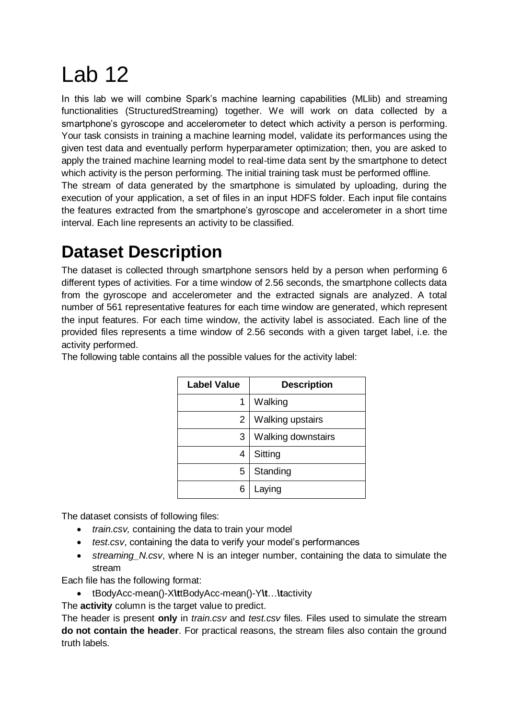## Lab 12

In this lab we will combine Spark's machine learning capabilities (MLIib) and streaming functionalities (StructuredStreaming) together. We will work on data collected by a smartphone's gyroscope and accelerometer to detect which activity a person is performing. Your task consists in training a machine learning model, validate its performances using the given test data and eventually perform hyperparameter optimization; then, you are asked to apply the trained machine learning model to real-time data sent by the smartphone to detect which activity is the person performing. The initial training task must be performed offline.

The stream of data generated by the smartphone is simulated by uploading, during the execution of your application, a set of files in an input HDFS folder. Each input file contains the features extracted from the smartphone's gyroscope and accelerometer in a short time interval. Each line represents an activity to be classified.

## **Dataset Description**

The dataset is collected through smartphone sensors held by a person when performing 6 different types of activities. For a time window of 2.56 seconds, the smartphone collects data from the gyroscope and accelerometer and the extracted signals are analyzed. A total number of 561 representative features for each time window are generated, which represent the input features. For each time window, the activity label is associated. Each line of the provided files represents a time window of 2.56 seconds with a given target label, i.e. the activity performed.

| <b>Label Value</b> | <b>Description</b> |
|--------------------|--------------------|
| 1                  | Walking            |
| 2                  | Walking upstairs   |
| 3                  | Walking downstairs |
| 4                  | Sitting            |
| 5                  | Standing           |
| 6                  | Laying             |

The following table contains all the possible values for the activity label:

The dataset consists of following files:

- *train.csv,* containing the data to train your model
- *test.csv*, containing the data to verify your model's performances
- *streaming\_N.csv*, where N is an integer number, containing the data to simulate the stream

Each file has the following format:

- tBodyAcc-mean()-X**\t**tBodyAcc-mean()-Y**\t**…**\t**activity
- The **activity** column is the target value to predict.

The header is present **only** in *train.csv* and *test.csv* files. Files used to simulate the stream **do not contain the header**. For practical reasons, the stream files also contain the ground truth labels.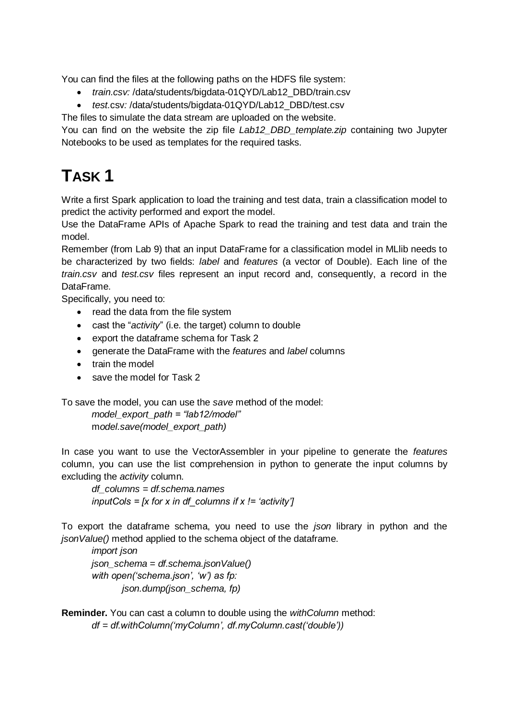You can find the files at the following paths on the HDFS file system:

- *train.csv:* /data/students/bigdata-01QYD/Lab12\_DBD/train.csv
- *test.*csv*:* /data/students/bigdata-01QYD/Lab12\_DBD/test.csv

The files to simulate the data stream are uploaded on the website.

You can find on the website the zip file *Lab12\_DBD\_template.zip* containing two Jupyter Notebooks to be used as templates for the required tasks.

## **TASK 1**

Write a first Spark application to load the training and test data, train a classification model to predict the activity performed and export the model.

Use the DataFrame APIs of Apache Spark to read the training and test data and train the model.

Remember (from Lab 9) that an input DataFrame for a classification model in MLlib needs to be characterized by two fields: *label* and *features* (a vector of Double). Each line of the *train.csv* and *test.csv* files represent an input record and, consequently, a record in the DataFrame.

Specifically, you need to:

- read the data from the file system
- cast the "*activity*" (i.e. the target) column to double
- export the dataframe schema for Task 2
- generate the DataFrame with the *features* and *label* columns
- train the model
- save the model for Task 2

To save the model, you can use the *save* method of the model:

*model\_export\_path = "lab12/model"* m*odel.save(model\_export\_path)*

In case you want to use the VectorAssembler in your pipeline to generate the *features* column, you can use the list comprehension in python to generate the input columns by excluding the *activity* column.

*df\_columns = df.schema.names inputCols = [x for x in df\_columns if x != 'activity']*

To export the dataframe schema, you need to use the *json* library in python and the *jsonValue()* method applied to the schema object of the dataframe.

*import json json\_schema = df.schema.jsonValue() with open('schema.json', 'w') as fp: json.dump(json\_schema, fp)*

**Reminder.** You can cast a column to double using the *withColumn* method: *df = df.withColumn('myColumn', df.myColumn.cast('double'))*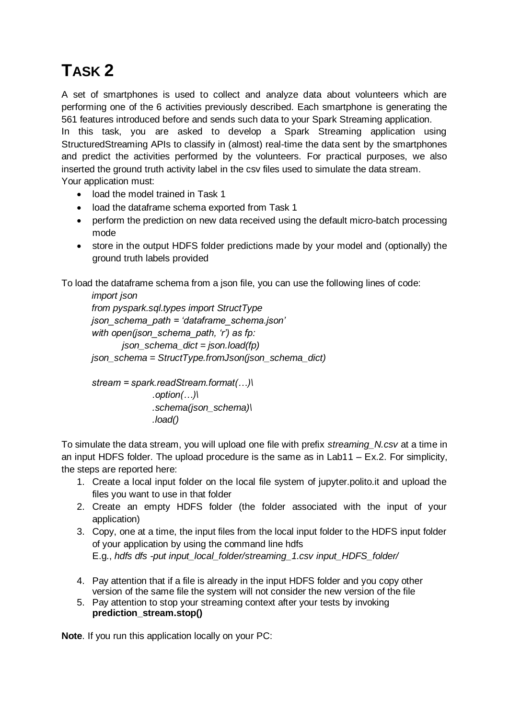## **TASK 2**

A set of smartphones is used to collect and analyze data about volunteers which are performing one of the 6 activities previously described. Each smartphone is generating the 561 features introduced before and sends such data to your Spark Streaming application.

In this task, you are asked to develop a Spark Streaming application using StructuredStreaming APIs to classify in (almost) real-time the data sent by the smartphones and predict the activities performed by the volunteers. For practical purposes, we also inserted the ground truth activity label in the csv files used to simulate the data stream. Your application must:

- load the model trained in Task 1
- load the dataframe schema exported from Task 1
- perform the prediction on new data received using the default micro-batch processing mode
- store in the output HDFS folder predictions made by your model and (optionally) the ground truth labels provided

To load the dataframe schema from a json file, you can use the following lines of code:

```
import json
from pyspark.sql.types import StructType
json_schema_path = 'dataframe_schema.json'
with open(json_schema_path, 'r') as fp:
       json_schema_dict = json.load(fp)
json_schema = StructType.fromJson(json_schema_dict)
```

```
stream = spark.readStream.format(…)\
             .option(…)\
             .schema(json_schema)\
             .load()
```
To simulate the data stream, you will upload one file with prefix *streaming\_N.csv* at a time in an input HDFS folder. The upload procedure is the same as in Lab11 – Ex.2. For simplicity, the steps are reported here:

- 1. Create a local input folder on the local file system of jupyter.polito.it and upload the files you want to use in that folder
- 2. Create an empty HDFS folder (the folder associated with the input of your application)
- 3. Copy, one at a time, the input files from the local input folder to the HDFS input folder of your application by using the command line hdfs E.g., *hdfs dfs -put input\_local\_folder/streaming\_1.csv input\_HDFS\_folder/*
- 4. Pay attention that if a file is already in the input HDFS folder and you copy other version of the same file the system will not consider the new version of the file
- 5. Pay attention to stop your streaming context after your tests by invoking **prediction\_stream.stop()**

**Note**. If you run this application locally on your PC: